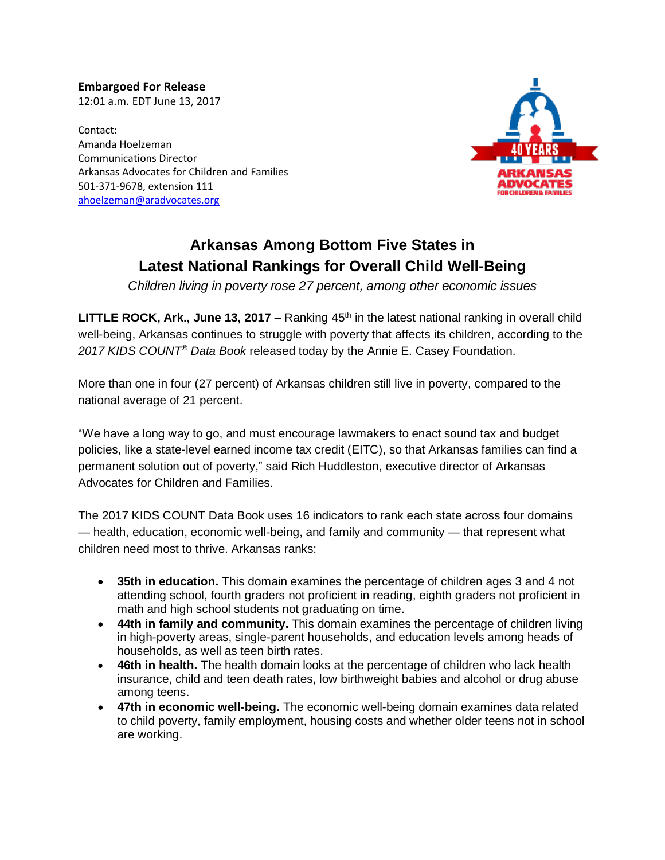**Embargoed For Release** 12:01 a.m. EDT June 13, 2017

Contact: Amanda Hoelzeman Communications Director Arkansas Advocates for Children and Families 501-371-9678, extension 111 [ahoelzeman@aradvocates.org](mailto:ahoelzeman@aradvocates.org)



## **Arkansas Among Bottom Five States in Latest National Rankings for Overall Child Well-Being**

*Children living in poverty rose 27 percent, among other economic issues*

**LITTLE ROCK, Ark., June 13, 2017** – Ranking 45<sup>th</sup> in the latest national ranking in overall child well-being, Arkansas continues to struggle with poverty that affects its children, according to the *2017 KIDS COUNT® Data Book* released today by the Annie E. Casey Foundation.

More than one in four (27 percent) of Arkansas children still live in poverty, compared to the national average of 21 percent.

"We have a long way to go, and must encourage lawmakers to enact sound tax and budget policies, like a state-level earned income tax credit (EITC), so that Arkansas families can find a permanent solution out of poverty," said Rich Huddleston, executive director of Arkansas Advocates for Children and Families.

The 2017 KIDS COUNT Data Book uses 16 indicators to rank each state across four domains — health, education, economic well-being, and family and community — that represent what children need most to thrive. Arkansas ranks:

- **35th in education.** This domain examines the percentage of children ages 3 and 4 not attending school, fourth graders not proficient in reading, eighth graders not proficient in math and high school students not graduating on time.
- **44th in family and community.** This domain examines the percentage of children living in high-poverty areas, single-parent households, and education levels among heads of households, as well as teen birth rates.
- **46th in health.** The health domain looks at the percentage of children who lack health insurance, child and teen death rates, low birthweight babies and alcohol or drug abuse among teens.
- **47th in economic well-being.** The economic well-being domain examines data related to child poverty, family employment, housing costs and whether older teens not in school are working.